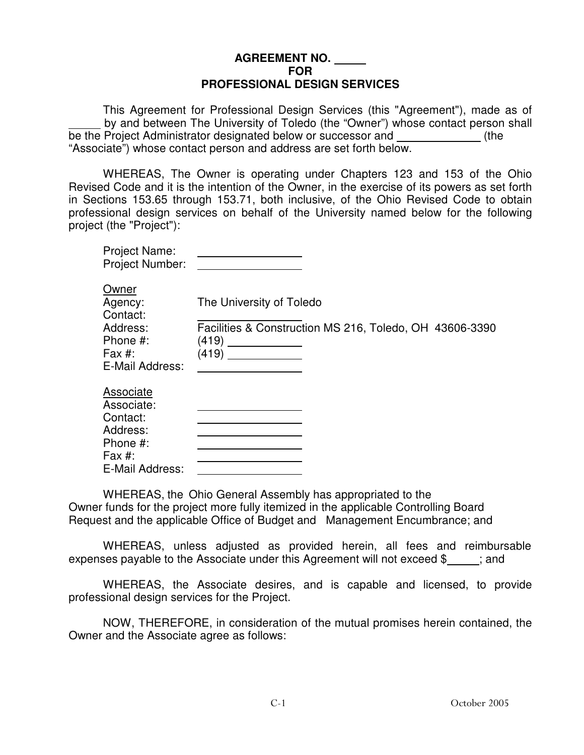#### **AGREEMENT NO. FOR PROFESSIONAL DESIGN SERVICES**

 This Agreement for Professional Design Services (this "Agreement"), made as of by and between The University of Toledo (the "Owner") whose contact person shall be the Project Administrator designated below or successor and \_\_\_\_\_\_\_\_\_\_\_\_\_\_\_(the "Associate") whose contact person and address are set forth below.

 WHEREAS, The Owner is operating under Chapters 123 and 153 of the Ohio Revised Code and it is the intention of the Owner, in the exercise of its powers as set forth in Sections 153.65 through 153.71, both inclusive, of the Ohio Revised Code to obtain professional design services on behalf of the University named below for the following project (the "Project"):

| <b>Project Name:</b><br>Project Number:                                                     |                                                                                                       |
|---------------------------------------------------------------------------------------------|-------------------------------------------------------------------------------------------------------|
| Owner<br>Agency:<br>Contact:<br>Address:<br>Phone #:<br>Fax $#$ :                           | The University of Toledo<br>Facilities & Construction MS 216, Toledo, OH 43606-3390<br>(419)<br>(419) |
| E-Mail Address:                                                                             |                                                                                                       |
| Associate<br>Associate:<br>Contact:<br>Address:<br>Phone #:<br>Fax $#$ :<br>E-Mail Address: |                                                                                                       |

 WHEREAS, the Ohio General Assembly has appropriated to the Owner funds for the project more fully itemized in the applicable Controlling Board Request and the applicable Office of Budget and Management Encumbrance; and

 WHEREAS, unless adjusted as provided herein, all fees and reimbursable expenses payable to the Associate under this Agreement will not exceed \$; and

 WHEREAS, the Associate desires, and is capable and licensed, to provide professional design services for the Project.

 NOW, THEREFORE, in consideration of the mutual promises herein contained, the Owner and the Associate agree as follows: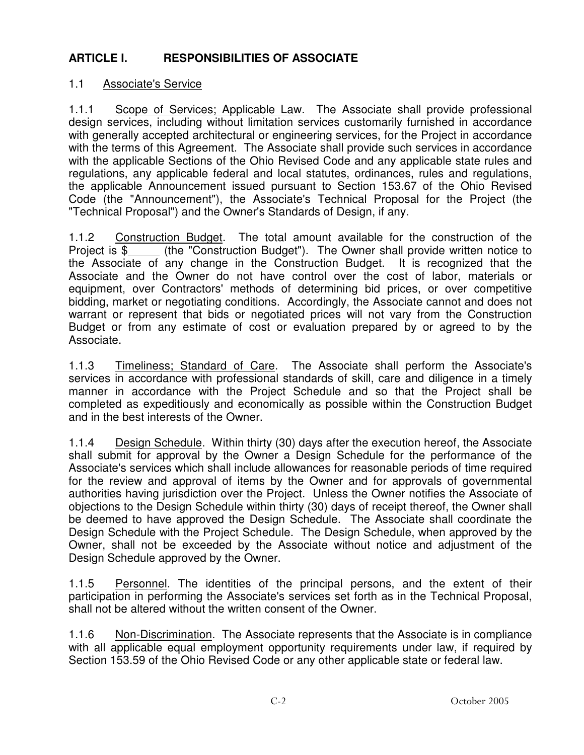# **ARTICLE I. RESPONSIBILITIES OF ASSOCIATE**

## 1.1 Associate's Service

1.1.1 Scope of Services; Applicable Law. The Associate shall provide professional design services, including without limitation services customarily furnished in accordance with generally accepted architectural or engineering services, for the Project in accordance with the terms of this Agreement. The Associate shall provide such services in accordance with the applicable Sections of the Ohio Revised Code and any applicable state rules and regulations, any applicable federal and local statutes, ordinances, rules and regulations, the applicable Announcement issued pursuant to Section 153.67 of the Ohio Revised Code (the "Announcement"), the Associate's Technical Proposal for the Project (the "Technical Proposal") and the Owner's Standards of Design, if any.

1.1.2 Construction Budget. The total amount available for the construction of the Project is \$\_\_\_\_\_\_ (the "Construction Budget"). The Owner shall provide written notice to the Associate of any change in the Construction Budget. It is recognized that the Associate and the Owner do not have control over the cost of labor, materials or equipment, over Contractors' methods of determining bid prices, or over competitive bidding, market or negotiating conditions. Accordingly, the Associate cannot and does not warrant or represent that bids or negotiated prices will not vary from the Construction Budget or from any estimate of cost or evaluation prepared by or agreed to by the Associate.

1.1.3 Timeliness; Standard of Care. The Associate shall perform the Associate's services in accordance with professional standards of skill, care and diligence in a timely manner in accordance with the Project Schedule and so that the Project shall be completed as expeditiously and economically as possible within the Construction Budget and in the best interests of the Owner.

1.1.4 Design Schedule. Within thirty (30) days after the execution hereof, the Associate shall submit for approval by the Owner a Design Schedule for the performance of the Associate's services which shall include allowances for reasonable periods of time required for the review and approval of items by the Owner and for approvals of governmental authorities having jurisdiction over the Project. Unless the Owner notifies the Associate of objections to the Design Schedule within thirty (30) days of receipt thereof, the Owner shall be deemed to have approved the Design Schedule. The Associate shall coordinate the Design Schedule with the Project Schedule. The Design Schedule, when approved by the Owner, shall not be exceeded by the Associate without notice and adjustment of the Design Schedule approved by the Owner.

1.1.5 Personnel. The identities of the principal persons, and the extent of their participation in performing the Associate's services set forth as in the Technical Proposal, shall not be altered without the written consent of the Owner.

1.1.6 Non-Discrimination. The Associate represents that the Associate is in compliance with all applicable equal employment opportunity requirements under law, if required by Section 153.59 of the Ohio Revised Code or any other applicable state or federal law.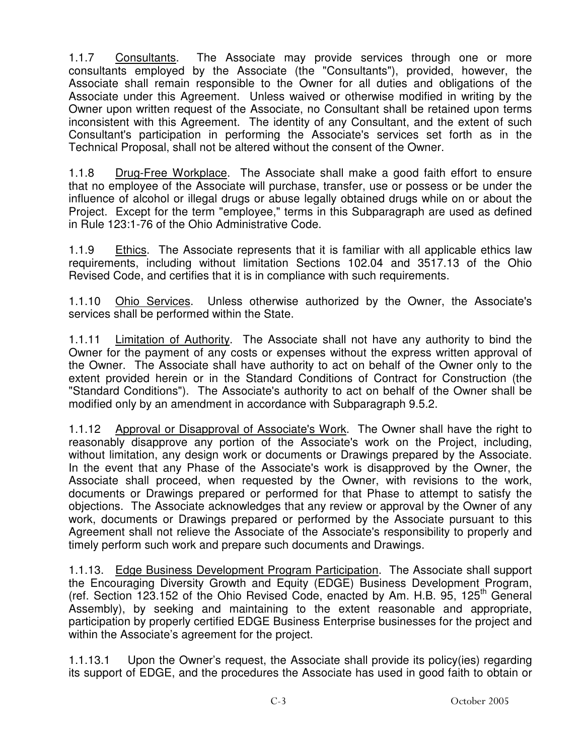1.1.7 Consultants. The Associate may provide services through one or more consultants employed by the Associate (the "Consultants"), provided, however, the Associate shall remain responsible to the Owner for all duties and obligations of the Associate under this Agreement. Unless waived or otherwise modified in writing by the Owner upon written request of the Associate, no Consultant shall be retained upon terms inconsistent with this Agreement. The identity of any Consultant, and the extent of such Consultant's participation in performing the Associate's services set forth as in the Technical Proposal, shall not be altered without the consent of the Owner.

1.1.8 Drug-Free Workplace. The Associate shall make a good faith effort to ensure that no employee of the Associate will purchase, transfer, use or possess or be under the influence of alcohol or illegal drugs or abuse legally obtained drugs while on or about the Project. Except for the term "employee," terms in this Subparagraph are used as defined in Rule 123:1-76 of the Ohio Administrative Code.

1.1.9 Ethics. The Associate represents that it is familiar with all applicable ethics law requirements, including without limitation Sections 102.04 and 3517.13 of the Ohio Revised Code, and certifies that it is in compliance with such requirements.

1.1.10 Ohio Services. Unless otherwise authorized by the Owner, the Associate's services shall be performed within the State.

1.1.11 Limitation of Authority. The Associate shall not have any authority to bind the Owner for the payment of any costs or expenses without the express written approval of the Owner. The Associate shall have authority to act on behalf of the Owner only to the extent provided herein or in the Standard Conditions of Contract for Construction (the "Standard Conditions"). The Associate's authority to act on behalf of the Owner shall be modified only by an amendment in accordance with Subparagraph 9.5.2.

1.1.12 Approval or Disapproval of Associate's Work. The Owner shall have the right to reasonably disapprove any portion of the Associate's work on the Project, including, without limitation, any design work or documents or Drawings prepared by the Associate. In the event that any Phase of the Associate's work is disapproved by the Owner, the Associate shall proceed, when requested by the Owner, with revisions to the work, documents or Drawings prepared or performed for that Phase to attempt to satisfy the objections. The Associate acknowledges that any review or approval by the Owner of any work, documents or Drawings prepared or performed by the Associate pursuant to this Agreement shall not relieve the Associate of the Associate's responsibility to properly and timely perform such work and prepare such documents and Drawings.

1.1.13. Edge Business Development Program Participation. The Associate shall support the Encouraging Diversity Growth and Equity (EDGE) Business Development Program, (ref. Section 123.152 of the Ohio Revised Code, enacted by Am. H.B. 95, 125<sup>th</sup> General Assembly), by seeking and maintaining to the extent reasonable and appropriate, participation by properly certified EDGE Business Enterprise businesses for the project and within the Associate's agreement for the project.

1.1.13.1 Upon the Owner's request, the Associate shall provide its policy(ies) regarding its support of EDGE, and the procedures the Associate has used in good faith to obtain or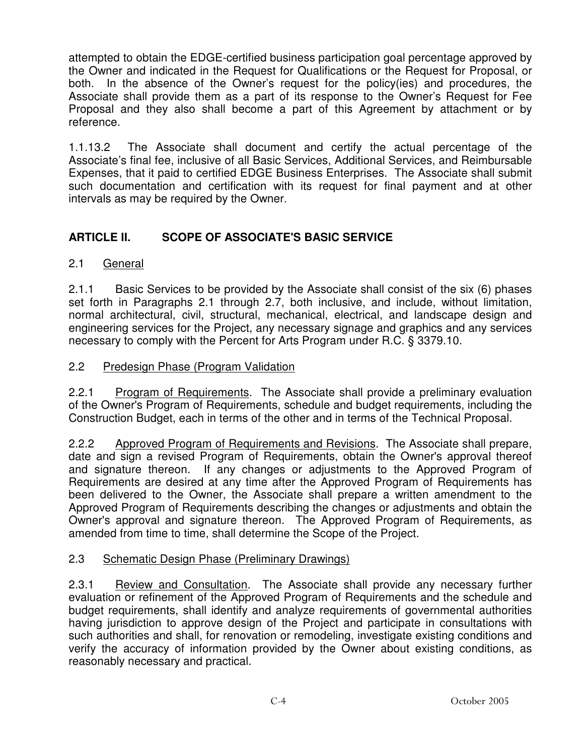attempted to obtain the EDGE-certified business participation goal percentage approved by the Owner and indicated in the Request for Qualifications or the Request for Proposal, or both. In the absence of the Owner's request for the policy(ies) and procedures, the Associate shall provide them as a part of its response to the Owner's Request for Fee Proposal and they also shall become a part of this Agreement by attachment or by reference.

1.1.13.2 The Associate shall document and certify the actual percentage of the Associate's final fee, inclusive of all Basic Services, Additional Services, and Reimbursable Expenses, that it paid to certified EDGE Business Enterprises. The Associate shall submit such documentation and certification with its request for final payment and at other intervals as may be required by the Owner.

# **ARTICLE II. SCOPE OF ASSOCIATE'S BASIC SERVICE**

## 2.1 General

2.1.1 Basic Services to be provided by the Associate shall consist of the six (6) phases set forth in Paragraphs 2.1 through 2.7, both inclusive, and include, without limitation, normal architectural, civil, structural, mechanical, electrical, and landscape design and engineering services for the Project, any necessary signage and graphics and any services necessary to comply with the Percent for Arts Program under R.C. § 3379.10.

## 2.2 Predesign Phase (Program Validation

2.2.1 Program of Requirements. The Associate shall provide a preliminary evaluation of the Owner's Program of Requirements, schedule and budget requirements, including the Construction Budget, each in terms of the other and in terms of the Technical Proposal.

2.2.2 Approved Program of Requirements and Revisions. The Associate shall prepare, date and sign a revised Program of Requirements, obtain the Owner's approval thereof and signature thereon. If any changes or adjustments to the Approved Program of Requirements are desired at any time after the Approved Program of Requirements has been delivered to the Owner, the Associate shall prepare a written amendment to the Approved Program of Requirements describing the changes or adjustments and obtain the Owner's approval and signature thereon. The Approved Program of Requirements, as amended from time to time, shall determine the Scope of the Project.

## 2.3 Schematic Design Phase (Preliminary Drawings)

2.3.1 Review and Consultation. The Associate shall provide any necessary further evaluation or refinement of the Approved Program of Requirements and the schedule and budget requirements, shall identify and analyze requirements of governmental authorities having jurisdiction to approve design of the Project and participate in consultations with such authorities and shall, for renovation or remodeling, investigate existing conditions and verify the accuracy of information provided by the Owner about existing conditions, as reasonably necessary and practical.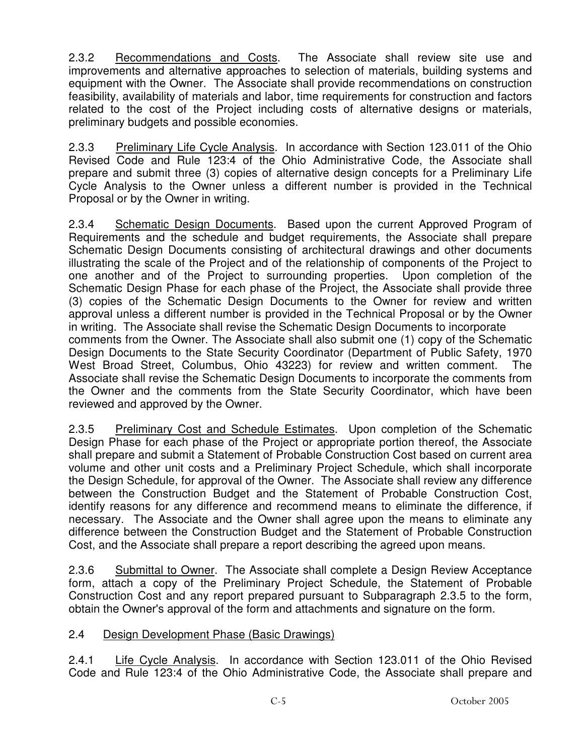2.3.2 Recommendations and Costs. The Associate shall review site use and improvements and alternative approaches to selection of materials, building systems and equipment with the Owner. The Associate shall provide recommendations on construction feasibility, availability of materials and labor, time requirements for construction and factors related to the cost of the Project including costs of alternative designs or materials, preliminary budgets and possible economies.

2.3.3 Preliminary Life Cycle Analysis. In accordance with Section 123.011 of the Ohio Revised Code and Rule 123:4 of the Ohio Administrative Code, the Associate shall prepare and submit three (3) copies of alternative design concepts for a Preliminary Life Cycle Analysis to the Owner unless a different number is provided in the Technical Proposal or by the Owner in writing.

2.3.4 Schematic Design Documents. Based upon the current Approved Program of Requirements and the schedule and budget requirements, the Associate shall prepare Schematic Design Documents consisting of architectural drawings and other documents illustrating the scale of the Project and of the relationship of components of the Project to one another and of the Project to surrounding properties. Upon completion of the Schematic Design Phase for each phase of the Project, the Associate shall provide three (3) copies of the Schematic Design Documents to the Owner for review and written approval unless a different number is provided in the Technical Proposal or by the Owner in writing. The Associate shall revise the Schematic Design Documents to incorporate comments from the Owner. The Associate shall also submit one (1) copy of the Schematic Design Documents to the State Security Coordinator (Department of Public Safety, 1970 West Broad Street, Columbus, Ohio 43223) for review and written comment. The Associate shall revise the Schematic Design Documents to incorporate the comments from the Owner and the comments from the State Security Coordinator, which have been reviewed and approved by the Owner.

2.3.5 Preliminary Cost and Schedule Estimates. Upon completion of the Schematic Design Phase for each phase of the Project or appropriate portion thereof, the Associate shall prepare and submit a Statement of Probable Construction Cost based on current area volume and other unit costs and a Preliminary Project Schedule, which shall incorporate the Design Schedule, for approval of the Owner. The Associate shall review any difference between the Construction Budget and the Statement of Probable Construction Cost, identify reasons for any difference and recommend means to eliminate the difference, if necessary. The Associate and the Owner shall agree upon the means to eliminate any difference between the Construction Budget and the Statement of Probable Construction Cost, and the Associate shall prepare a report describing the agreed upon means.

2.3.6 Submittal to Owner. The Associate shall complete a Design Review Acceptance form, attach a copy of the Preliminary Project Schedule, the Statement of Probable Construction Cost and any report prepared pursuant to Subparagraph 2.3.5 to the form, obtain the Owner's approval of the form and attachments and signature on the form.

#### 2.4 Design Development Phase (Basic Drawings)

2.4.1 Life Cycle Analysis. In accordance with Section 123.011 of the Ohio Revised Code and Rule 123:4 of the Ohio Administrative Code, the Associate shall prepare and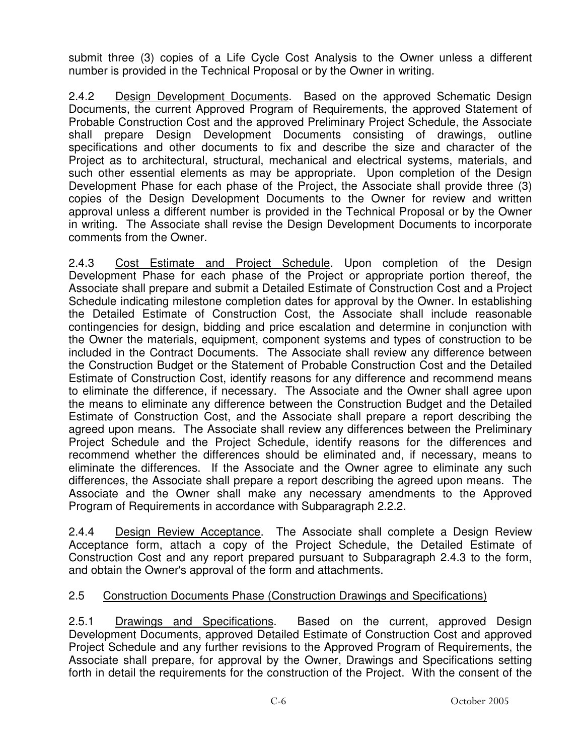submit three (3) copies of a Life Cycle Cost Analysis to the Owner unless a different number is provided in the Technical Proposal or by the Owner in writing.

2.4.2 Design Development Documents. Based on the approved Schematic Design Documents, the current Approved Program of Requirements, the approved Statement of Probable Construction Cost and the approved Preliminary Project Schedule, the Associate shall prepare Design Development Documents consisting of drawings, outline specifications and other documents to fix and describe the size and character of the Project as to architectural, structural, mechanical and electrical systems, materials, and such other essential elements as may be appropriate. Upon completion of the Design Development Phase for each phase of the Project, the Associate shall provide three (3) copies of the Design Development Documents to the Owner for review and written approval unless a different number is provided in the Technical Proposal or by the Owner in writing. The Associate shall revise the Design Development Documents to incorporate comments from the Owner.

2.4.3 Cost Estimate and Project Schedule. Upon completion of the Design Development Phase for each phase of the Project or appropriate portion thereof, the Associate shall prepare and submit a Detailed Estimate of Construction Cost and a Project Schedule indicating milestone completion dates for approval by the Owner. In establishing the Detailed Estimate of Construction Cost, the Associate shall include reasonable contingencies for design, bidding and price escalation and determine in conjunction with the Owner the materials, equipment, component systems and types of construction to be included in the Contract Documents. The Associate shall review any difference between the Construction Budget or the Statement of Probable Construction Cost and the Detailed Estimate of Construction Cost, identify reasons for any difference and recommend means to eliminate the difference, if necessary. The Associate and the Owner shall agree upon the means to eliminate any difference between the Construction Budget and the Detailed Estimate of Construction Cost, and the Associate shall prepare a report describing the agreed upon means. The Associate shall review any differences between the Preliminary Project Schedule and the Project Schedule, identify reasons for the differences and recommend whether the differences should be eliminated and, if necessary, means to eliminate the differences. If the Associate and the Owner agree to eliminate any such differences, the Associate shall prepare a report describing the agreed upon means. The Associate and the Owner shall make any necessary amendments to the Approved Program of Requirements in accordance with Subparagraph 2.2.2.

2.4.4 Design Review Acceptance. The Associate shall complete a Design Review Acceptance form, attach a copy of the Project Schedule, the Detailed Estimate of Construction Cost and any report prepared pursuant to Subparagraph 2.4.3 to the form, and obtain the Owner's approval of the form and attachments.

## 2.5 Construction Documents Phase (Construction Drawings and Specifications)

2.5.1 Drawings and Specifications. Based on the current, approved Design Development Documents, approved Detailed Estimate of Construction Cost and approved Project Schedule and any further revisions to the Approved Program of Requirements, the Associate shall prepare, for approval by the Owner, Drawings and Specifications setting forth in detail the requirements for the construction of the Project. With the consent of the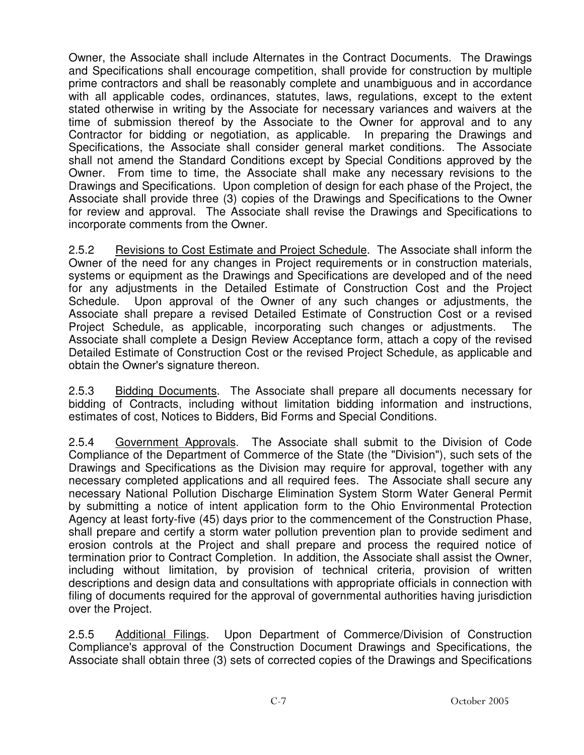Owner, the Associate shall include Alternates in the Contract Documents. The Drawings and Specifications shall encourage competition, shall provide for construction by multiple prime contractors and shall be reasonably complete and unambiguous and in accordance with all applicable codes, ordinances, statutes, laws, regulations, except to the extent stated otherwise in writing by the Associate for necessary variances and waivers at the time of submission thereof by the Associate to the Owner for approval and to any Contractor for bidding or negotiation, as applicable. In preparing the Drawings and Specifications, the Associate shall consider general market conditions. The Associate shall not amend the Standard Conditions except by Special Conditions approved by the Owner. From time to time, the Associate shall make any necessary revisions to the Drawings and Specifications. Upon completion of design for each phase of the Project, the Associate shall provide three (3) copies of the Drawings and Specifications to the Owner for review and approval. The Associate shall revise the Drawings and Specifications to incorporate comments from the Owner.

2.5.2 Revisions to Cost Estimate and Project Schedule. The Associate shall inform the Owner of the need for any changes in Project requirements or in construction materials, systems or equipment as the Drawings and Specifications are developed and of the need for any adjustments in the Detailed Estimate of Construction Cost and the Project Schedule. Upon approval of the Owner of any such changes or adjustments, the Associate shall prepare a revised Detailed Estimate of Construction Cost or a revised Project Schedule, as applicable, incorporating such changes or adjustments. The Associate shall complete a Design Review Acceptance form, attach a copy of the revised Detailed Estimate of Construction Cost or the revised Project Schedule, as applicable and obtain the Owner's signature thereon.

2.5.3 Bidding Documents. The Associate shall prepare all documents necessary for bidding of Contracts, including without limitation bidding information and instructions, estimates of cost, Notices to Bidders, Bid Forms and Special Conditions.

2.5.4 Government Approvals. The Associate shall submit to the Division of Code Compliance of the Department of Commerce of the State (the "Division"), such sets of the Drawings and Specifications as the Division may require for approval, together with any necessary completed applications and all required fees. The Associate shall secure any necessary National Pollution Discharge Elimination System Storm Water General Permit by submitting a notice of intent application form to the Ohio Environmental Protection Agency at least forty-five (45) days prior to the commencement of the Construction Phase, shall prepare and certify a storm water pollution prevention plan to provide sediment and erosion controls at the Project and shall prepare and process the required notice of termination prior to Contract Completion. In addition, the Associate shall assist the Owner, including without limitation, by provision of technical criteria, provision of written descriptions and design data and consultations with appropriate officials in connection with filing of documents required for the approval of governmental authorities having jurisdiction over the Project.

2.5.5 Additional Filings. Upon Department of Commerce/Division of Construction Compliance's approval of the Construction Document Drawings and Specifications, the Associate shall obtain three (3) sets of corrected copies of the Drawings and Specifications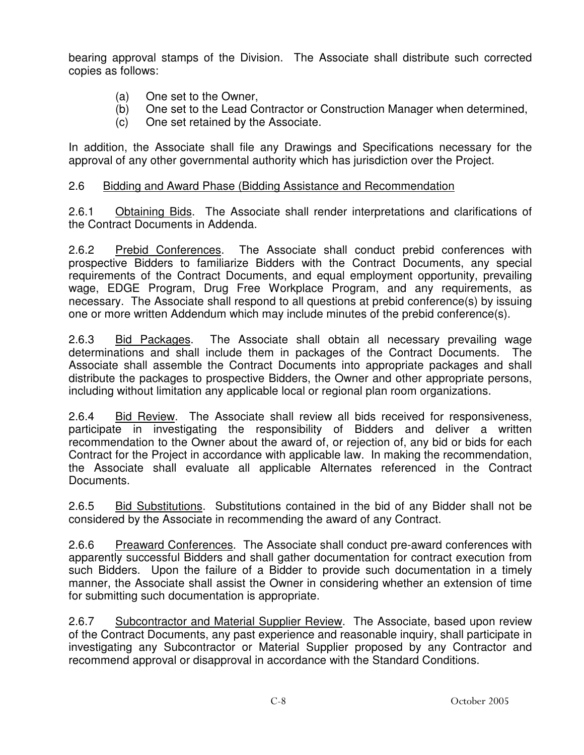bearing approval stamps of the Division. The Associate shall distribute such corrected copies as follows:

- (a) One set to the Owner,
- (b) One set to the Lead Contractor or Construction Manager when determined,
- (c) One set retained by the Associate.

In addition, the Associate shall file any Drawings and Specifications necessary for the approval of any other governmental authority which has jurisdiction over the Project.

#### 2.6 Bidding and Award Phase (Bidding Assistance and Recommendation

2.6.1 Obtaining Bids. The Associate shall render interpretations and clarifications of the Contract Documents in Addenda.

2.6.2 Prebid Conferences. The Associate shall conduct prebid conferences with prospective Bidders to familiarize Bidders with the Contract Documents, any special requirements of the Contract Documents, and equal employment opportunity, prevailing wage, EDGE Program, Drug Free Workplace Program, and any requirements, as necessary. The Associate shall respond to all questions at prebid conference(s) by issuing one or more written Addendum which may include minutes of the prebid conference(s).

2.6.3 Bid Packages. The Associate shall obtain all necessary prevailing wage determinations and shall include them in packages of the Contract Documents. The Associate shall assemble the Contract Documents into appropriate packages and shall distribute the packages to prospective Bidders, the Owner and other appropriate persons, including without limitation any applicable local or regional plan room organizations.

2.6.4 Bid Review. The Associate shall review all bids received for responsiveness, participate in investigating the responsibility of Bidders and deliver a written recommendation to the Owner about the award of, or rejection of, any bid or bids for each Contract for the Project in accordance with applicable law. In making the recommendation, the Associate shall evaluate all applicable Alternates referenced in the Contract Documents.

2.6.5 Bid Substitutions. Substitutions contained in the bid of any Bidder shall not be considered by the Associate in recommending the award of any Contract.

2.6.6 Preaward Conferences. The Associate shall conduct pre-award conferences with apparently successful Bidders and shall gather documentation for contract execution from such Bidders. Upon the failure of a Bidder to provide such documentation in a timely manner, the Associate shall assist the Owner in considering whether an extension of time for submitting such documentation is appropriate.

2.6.7 Subcontractor and Material Supplier Review. The Associate, based upon review of the Contract Documents, any past experience and reasonable inquiry, shall participate in investigating any Subcontractor or Material Supplier proposed by any Contractor and recommend approval or disapproval in accordance with the Standard Conditions.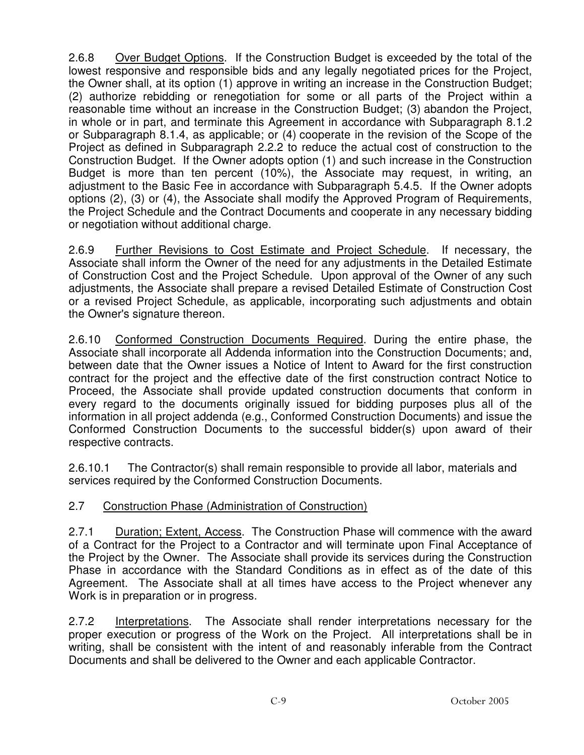2.6.8 Over Budget Options. If the Construction Budget is exceeded by the total of the lowest responsive and responsible bids and any legally negotiated prices for the Project, the Owner shall, at its option (1) approve in writing an increase in the Construction Budget; (2) authorize rebidding or renegotiation for some or all parts of the Project within a reasonable time without an increase in the Construction Budget; (3) abandon the Project, in whole or in part, and terminate this Agreement in accordance with Subparagraph 8.1.2 or Subparagraph 8.1.4, as applicable; or (4) cooperate in the revision of the Scope of the Project as defined in Subparagraph 2.2.2 to reduce the actual cost of construction to the Construction Budget. If the Owner adopts option (1) and such increase in the Construction Budget is more than ten percent (10%), the Associate may request, in writing, an adjustment to the Basic Fee in accordance with Subparagraph 5.4.5. If the Owner adopts options (2), (3) or (4), the Associate shall modify the Approved Program of Requirements, the Project Schedule and the Contract Documents and cooperate in any necessary bidding or negotiation without additional charge.

2.6.9 Further Revisions to Cost Estimate and Project Schedule. If necessary, the Associate shall inform the Owner of the need for any adjustments in the Detailed Estimate of Construction Cost and the Project Schedule. Upon approval of the Owner of any such adjustments, the Associate shall prepare a revised Detailed Estimate of Construction Cost or a revised Project Schedule, as applicable, incorporating such adjustments and obtain the Owner's signature thereon.

2.6.10 Conformed Construction Documents Required. During the entire phase, the Associate shall incorporate all Addenda information into the Construction Documents; and, between date that the Owner issues a Notice of Intent to Award for the first construction contract for the project and the effective date of the first construction contract Notice to Proceed, the Associate shall provide updated construction documents that conform in every regard to the documents originally issued for bidding purposes plus all of the information in all project addenda (e.g., Conformed Construction Documents) and issue the Conformed Construction Documents to the successful bidder(s) upon award of their respective contracts.

2.6.10.1 The Contractor(s) shall remain responsible to provide all labor, materials and services required by the Conformed Construction Documents.

## 2.7 Construction Phase (Administration of Construction)

2.7.1 Duration; Extent, Access. The Construction Phase will commence with the award of a Contract for the Project to a Contractor and will terminate upon Final Acceptance of the Project by the Owner. The Associate shall provide its services during the Construction Phase in accordance with the Standard Conditions as in effect as of the date of this Agreement. The Associate shall at all times have access to the Project whenever any Work is in preparation or in progress.

2.7.2 Interpretations. The Associate shall render interpretations necessary for the proper execution or progress of the Work on the Project. All interpretations shall be in writing, shall be consistent with the intent of and reasonably inferable from the Contract Documents and shall be delivered to the Owner and each applicable Contractor.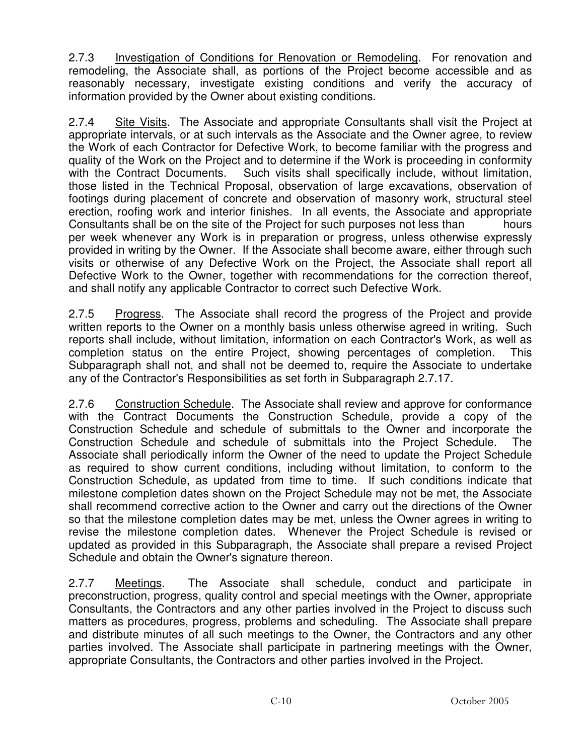2.7.3 Investigation of Conditions for Renovation or Remodeling. For renovation and remodeling, the Associate shall, as portions of the Project become accessible and as reasonably necessary, investigate existing conditions and verify the accuracy of information provided by the Owner about existing conditions.

2.7.4 Site Visits. The Associate and appropriate Consultants shall visit the Project at appropriate intervals, or at such intervals as the Associate and the Owner agree, to review the Work of each Contractor for Defective Work, to become familiar with the progress and quality of the Work on the Project and to determine if the Work is proceeding in conformity with the Contract Documents. Such visits shall specifically include, without limitation, those listed in the Technical Proposal, observation of large excavations, observation of footings during placement of concrete and observation of masonry work, structural steel erection, roofing work and interior finishes. In all events, the Associate and appropriate Consultants shall be on the site of the Project for such purposes not less than hours per week whenever any Work is in preparation or progress, unless otherwise expressly provided in writing by the Owner. If the Associate shall become aware, either through such visits or otherwise of any Defective Work on the Project, the Associate shall report all Defective Work to the Owner, together with recommendations for the correction thereof, and shall notify any applicable Contractor to correct such Defective Work.

2.7.5 Progress. The Associate shall record the progress of the Project and provide written reports to the Owner on a monthly basis unless otherwise agreed in writing. Such reports shall include, without limitation, information on each Contractor's Work, as well as completion status on the entire Project, showing percentages of completion. This Subparagraph shall not, and shall not be deemed to, require the Associate to undertake any of the Contractor's Responsibilities as set forth in Subparagraph 2.7.17.

2.7.6 Construction Schedule. The Associate shall review and approve for conformance with the Contract Documents the Construction Schedule, provide a copy of the Construction Schedule and schedule of submittals to the Owner and incorporate the Construction Schedule and schedule of submittals into the Project Schedule. The Associate shall periodically inform the Owner of the need to update the Project Schedule as required to show current conditions, including without limitation, to conform to the Construction Schedule, as updated from time to time. If such conditions indicate that milestone completion dates shown on the Project Schedule may not be met, the Associate shall recommend corrective action to the Owner and carry out the directions of the Owner so that the milestone completion dates may be met, unless the Owner agrees in writing to revise the milestone completion dates. Whenever the Project Schedule is revised or updated as provided in this Subparagraph, the Associate shall prepare a revised Project Schedule and obtain the Owner's signature thereon.

2.7.7 Meetings. The Associate shall schedule, conduct and participate in preconstruction, progress, quality control and special meetings with the Owner, appropriate Consultants, the Contractors and any other parties involved in the Project to discuss such matters as procedures, progress, problems and scheduling. The Associate shall prepare and distribute minutes of all such meetings to the Owner, the Contractors and any other parties involved. The Associate shall participate in partnering meetings with the Owner, appropriate Consultants, the Contractors and other parties involved in the Project.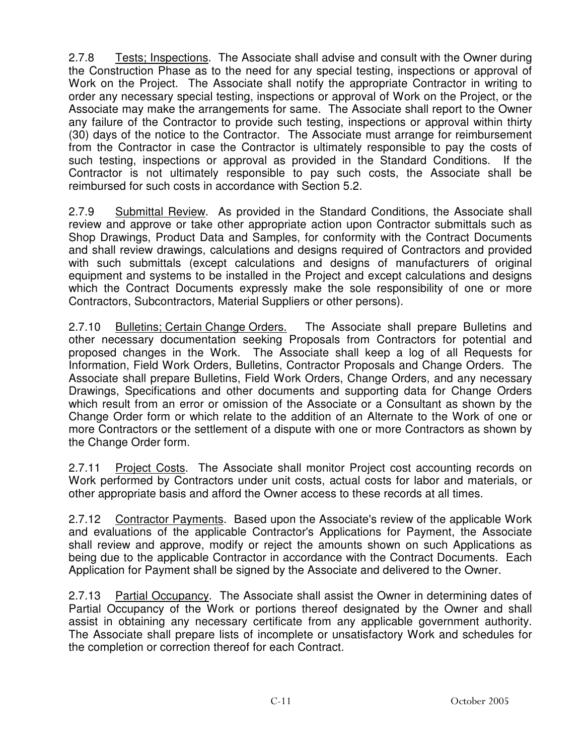2.7.8 Tests; Inspections. The Associate shall advise and consult with the Owner during the Construction Phase as to the need for any special testing, inspections or approval of Work on the Project. The Associate shall notify the appropriate Contractor in writing to order any necessary special testing, inspections or approval of Work on the Project, or the Associate may make the arrangements for same. The Associate shall report to the Owner any failure of the Contractor to provide such testing, inspections or approval within thirty (30) days of the notice to the Contractor. The Associate must arrange for reimbursement from the Contractor in case the Contractor is ultimately responsible to pay the costs of such testing, inspections or approval as provided in the Standard Conditions. If the Contractor is not ultimately responsible to pay such costs, the Associate shall be reimbursed for such costs in accordance with Section 5.2.

2.7.9 Submittal Review. As provided in the Standard Conditions, the Associate shall review and approve or take other appropriate action upon Contractor submittals such as Shop Drawings, Product Data and Samples, for conformity with the Contract Documents and shall review drawings, calculations and designs required of Contractors and provided with such submittals (except calculations and designs of manufacturers of original equipment and systems to be installed in the Project and except calculations and designs which the Contract Documents expressly make the sole responsibility of one or more Contractors, Subcontractors, Material Suppliers or other persons).

2.7.10 Bulletins; Certain Change Orders. The Associate shall prepare Bulletins and other necessary documentation seeking Proposals from Contractors for potential and proposed changes in the Work. The Associate shall keep a log of all Requests for Information, Field Work Orders, Bulletins, Contractor Proposals and Change Orders. The Associate shall prepare Bulletins, Field Work Orders, Change Orders, and any necessary Drawings, Specifications and other documents and supporting data for Change Orders which result from an error or omission of the Associate or a Consultant as shown by the Change Order form or which relate to the addition of an Alternate to the Work of one or more Contractors or the settlement of a dispute with one or more Contractors as shown by the Change Order form.

2.7.11 Project Costs. The Associate shall monitor Project cost accounting records on Work performed by Contractors under unit costs, actual costs for labor and materials, or other appropriate basis and afford the Owner access to these records at all times.

2.7.12 Contractor Payments. Based upon the Associate's review of the applicable Work and evaluations of the applicable Contractor's Applications for Payment, the Associate shall review and approve, modify or reject the amounts shown on such Applications as being due to the applicable Contractor in accordance with the Contract Documents. Each Application for Payment shall be signed by the Associate and delivered to the Owner.

2.7.13 Partial Occupancy. The Associate shall assist the Owner in determining dates of Partial Occupancy of the Work or portions thereof designated by the Owner and shall assist in obtaining any necessary certificate from any applicable government authority. The Associate shall prepare lists of incomplete or unsatisfactory Work and schedules for the completion or correction thereof for each Contract.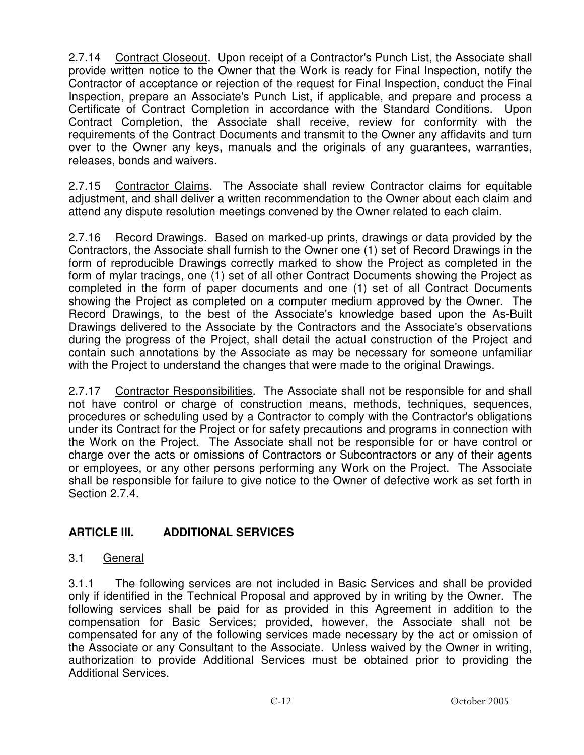2.7.14 Contract Closeout. Upon receipt of a Contractor's Punch List, the Associate shall provide written notice to the Owner that the Work is ready for Final Inspection, notify the Contractor of acceptance or rejection of the request for Final Inspection, conduct the Final Inspection, prepare an Associate's Punch List, if applicable, and prepare and process a Certificate of Contract Completion in accordance with the Standard Conditions. Upon Contract Completion, the Associate shall receive, review for conformity with the requirements of the Contract Documents and transmit to the Owner any affidavits and turn over to the Owner any keys, manuals and the originals of any guarantees, warranties, releases, bonds and waivers.

2.7.15 Contractor Claims. The Associate shall review Contractor claims for equitable adjustment, and shall deliver a written recommendation to the Owner about each claim and attend any dispute resolution meetings convened by the Owner related to each claim.

2.7.16 Record Drawings. Based on marked-up prints, drawings or data provided by the Contractors, the Associate shall furnish to the Owner one (1) set of Record Drawings in the form of reproducible Drawings correctly marked to show the Project as completed in the form of mylar tracings, one (1) set of all other Contract Documents showing the Project as completed in the form of paper documents and one (1) set of all Contract Documents showing the Project as completed on a computer medium approved by the Owner. The Record Drawings, to the best of the Associate's knowledge based upon the As-Built Drawings delivered to the Associate by the Contractors and the Associate's observations during the progress of the Project, shall detail the actual construction of the Project and contain such annotations by the Associate as may be necessary for someone unfamiliar with the Project to understand the changes that were made to the original Drawings.

2.7.17 Contractor Responsibilities. The Associate shall not be responsible for and shall not have control or charge of construction means, methods, techniques, sequences, procedures or scheduling used by a Contractor to comply with the Contractor's obligations under its Contract for the Project or for safety precautions and programs in connection with the Work on the Project. The Associate shall not be responsible for or have control or charge over the acts or omissions of Contractors or Subcontractors or any of their agents or employees, or any other persons performing any Work on the Project. The Associate shall be responsible for failure to give notice to the Owner of defective work as set forth in Section 2.7.4.

# **ARTICLE III. ADDITIONAL SERVICES**

## 3.1 General

3.1.1 The following services are not included in Basic Services and shall be provided only if identified in the Technical Proposal and approved by in writing by the Owner. The following services shall be paid for as provided in this Agreement in addition to the compensation for Basic Services; provided, however, the Associate shall not be compensated for any of the following services made necessary by the act or omission of the Associate or any Consultant to the Associate. Unless waived by the Owner in writing, authorization to provide Additional Services must be obtained prior to providing the Additional Services.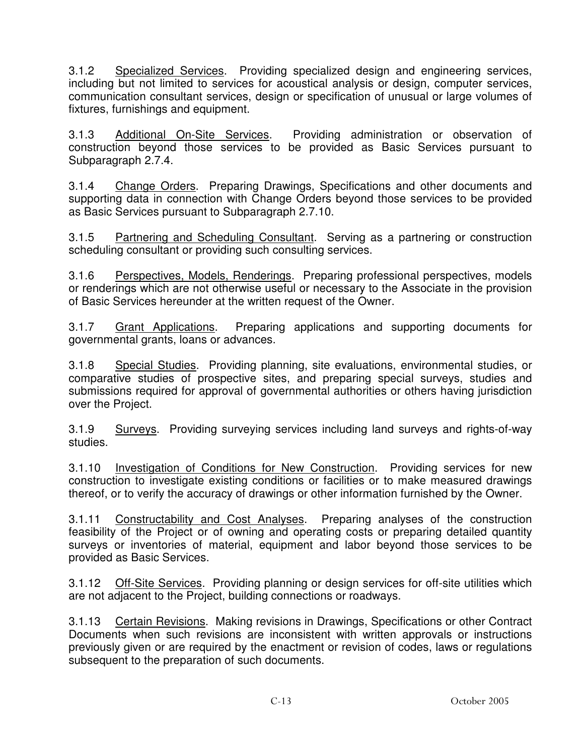3.1.2 Specialized Services. Providing specialized design and engineering services, including but not limited to services for acoustical analysis or design, computer services, communication consultant services, design or specification of unusual or large volumes of fixtures, furnishings and equipment.

3.1.3 Additional On-Site Services. Providing administration or observation of construction beyond those services to be provided as Basic Services pursuant to Subparagraph 2.7.4.

3.1.4 Change Orders. Preparing Drawings, Specifications and other documents and supporting data in connection with Change Orders beyond those services to be provided as Basic Services pursuant to Subparagraph 2.7.10.

3.1.5 Partnering and Scheduling Consultant. Serving as a partnering or construction scheduling consultant or providing such consulting services.

3.1.6 Perspectives, Models, Renderings. Preparing professional perspectives, models or renderings which are not otherwise useful or necessary to the Associate in the provision of Basic Services hereunder at the written request of the Owner.

3.1.7 Grant Applications. Preparing applications and supporting documents for governmental grants, loans or advances.

3.1.8 Special Studies. Providing planning, site evaluations, environmental studies, or comparative studies of prospective sites, and preparing special surveys, studies and submissions required for approval of governmental authorities or others having jurisdiction over the Project.

3.1.9 Surveys. Providing surveying services including land surveys and rights-of-way studies.

3.1.10 Investigation of Conditions for New Construction. Providing services for new construction to investigate existing conditions or facilities or to make measured drawings thereof, or to verify the accuracy of drawings or other information furnished by the Owner.

3.1.11 Constructability and Cost Analyses. Preparing analyses of the construction feasibility of the Project or of owning and operating costs or preparing detailed quantity surveys or inventories of material, equipment and labor beyond those services to be provided as Basic Services.

3.1.12 Off-Site Services. Providing planning or design services for off-site utilities which are not adjacent to the Project, building connections or roadways.

3.1.13 Certain Revisions. Making revisions in Drawings, Specifications or other Contract Documents when such revisions are inconsistent with written approvals or instructions previously given or are required by the enactment or revision of codes, laws or regulations subsequent to the preparation of such documents.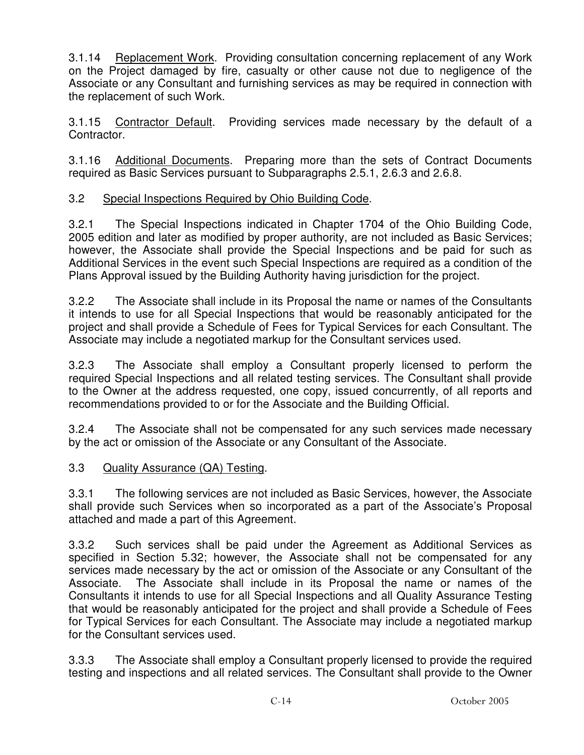3.1.14 Replacement Work. Providing consultation concerning replacement of any Work on the Project damaged by fire, casualty or other cause not due to negligence of the Associate or any Consultant and furnishing services as may be required in connection with the replacement of such Work.

3.1.15 Contractor Default. Providing services made necessary by the default of a Contractor.

3.1.16 Additional Documents. Preparing more than the sets of Contract Documents required as Basic Services pursuant to Subparagraphs 2.5.1, 2.6.3 and 2.6.8.

## 3.2 Special Inspections Required by Ohio Building Code.

3.2.1 The Special Inspections indicated in Chapter 1704 of the Ohio Building Code, 2005 edition and later as modified by proper authority, are not included as Basic Services; however, the Associate shall provide the Special Inspections and be paid for such as Additional Services in the event such Special Inspections are required as a condition of the Plans Approval issued by the Building Authority having jurisdiction for the project.

3.2.2 The Associate shall include in its Proposal the name or names of the Consultants it intends to use for all Special Inspections that would be reasonably anticipated for the project and shall provide a Schedule of Fees for Typical Services for each Consultant. The Associate may include a negotiated markup for the Consultant services used.

3.2.3 The Associate shall employ a Consultant properly licensed to perform the required Special Inspections and all related testing services. The Consultant shall provide to the Owner at the address requested, one copy, issued concurrently, of all reports and recommendations provided to or for the Associate and the Building Official.

3.2.4 The Associate shall not be compensated for any such services made necessary by the act or omission of the Associate or any Consultant of the Associate.

# 3.3 Quality Assurance (QA) Testing.

3.3.1 The following services are not included as Basic Services, however, the Associate shall provide such Services when so incorporated as a part of the Associate's Proposal attached and made a part of this Agreement.

3.3.2 Such services shall be paid under the Agreement as Additional Services as specified in Section 5.32; however, the Associate shall not be compensated for any services made necessary by the act or omission of the Associate or any Consultant of the Associate. The Associate shall include in its Proposal the name or names of the Consultants it intends to use for all Special Inspections and all Quality Assurance Testing that would be reasonably anticipated for the project and shall provide a Schedule of Fees for Typical Services for each Consultant. The Associate may include a negotiated markup for the Consultant services used.

3.3.3 The Associate shall employ a Consultant properly licensed to provide the required testing and inspections and all related services. The Consultant shall provide to the Owner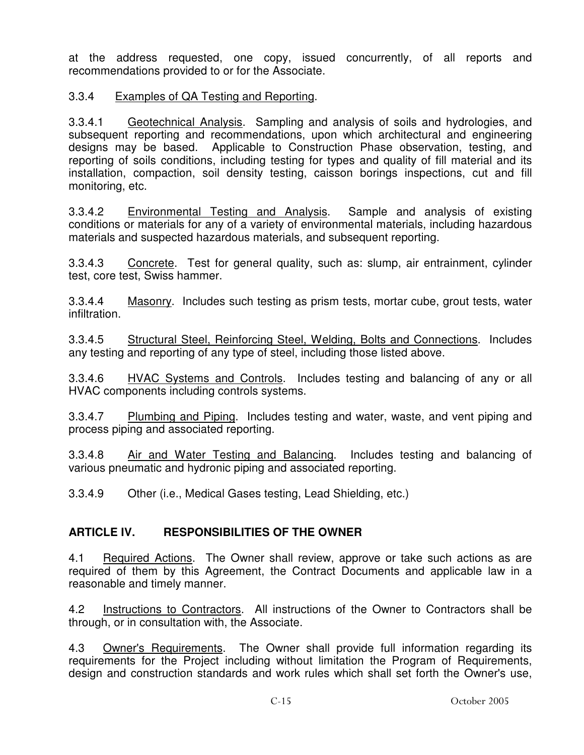at the address requested, one copy, issued concurrently, of all reports and recommendations provided to or for the Associate.

#### 3.3.4 Examples of QA Testing and Reporting.

3.3.4.1 Geotechnical Analysis. Sampling and analysis of soils and hydrologies, and subsequent reporting and recommendations, upon which architectural and engineering designs may be based. Applicable to Construction Phase observation, testing, and reporting of soils conditions, including testing for types and quality of fill material and its installation, compaction, soil density testing, caisson borings inspections, cut and fill monitoring, etc.

3.3.4.2 Environmental Testing and Analysis. Sample and analysis of existing conditions or materials for any of a variety of environmental materials, including hazardous materials and suspected hazardous materials, and subsequent reporting.

3.3.4.3 Concrete. Test for general quality, such as: slump, air entrainment, cylinder test, core test, Swiss hammer.

3.3.4.4 Masonry. Includes such testing as prism tests, mortar cube, grout tests, water infiltration.

3.3.4.5 Structural Steel, Reinforcing Steel, Welding, Bolts and Connections. Includes any testing and reporting of any type of steel, including those listed above.

3.3.4.6 HVAC Systems and Controls. Includes testing and balancing of any or all HVAC components including controls systems.

3.3.4.7 Plumbing and Piping. Includes testing and water, waste, and vent piping and process piping and associated reporting.

3.3.4.8 Air and Water Testing and Balancing. Includes testing and balancing of various pneumatic and hydronic piping and associated reporting.

3.3.4.9 Other (i.e., Medical Gases testing, Lead Shielding, etc.)

## **ARTICLE IV. RESPONSIBILITIES OF THE OWNER**

4.1 Required Actions. The Owner shall review, approve or take such actions as are required of them by this Agreement, the Contract Documents and applicable law in a reasonable and timely manner.

4.2 Instructions to Contractors. All instructions of the Owner to Contractors shall be through, or in consultation with, the Associate.

4.3 Owner's Requirements. The Owner shall provide full information regarding its requirements for the Project including without limitation the Program of Requirements, design and construction standards and work rules which shall set forth the Owner's use,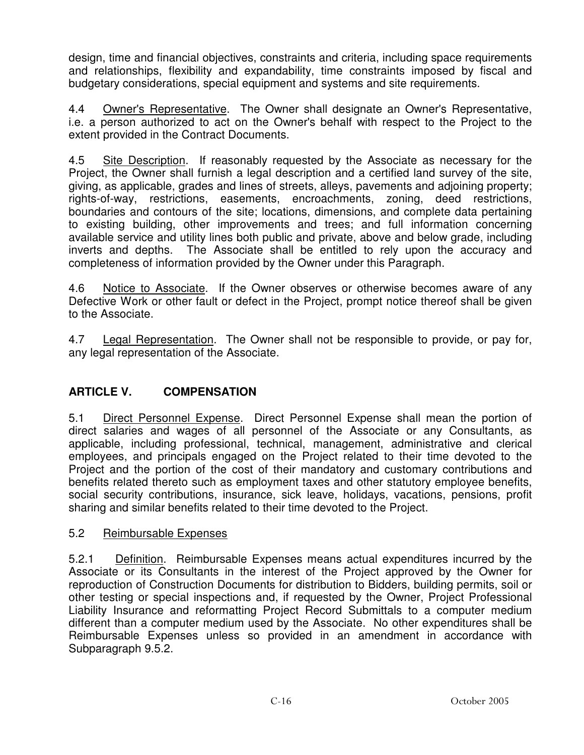design, time and financial objectives, constraints and criteria, including space requirements and relationships, flexibility and expandability, time constraints imposed by fiscal and budgetary considerations, special equipment and systems and site requirements.

4.4 **Owner's Representative.** The Owner shall designate an Owner's Representative, i.e. a person authorized to act on the Owner's behalf with respect to the Project to the extent provided in the Contract Documents.

4.5 Site Description. If reasonably requested by the Associate as necessary for the Project, the Owner shall furnish a legal description and a certified land survey of the site, giving, as applicable, grades and lines of streets, alleys, pavements and adjoining property; rights-of-way, restrictions, easements, encroachments, zoning, deed restrictions, boundaries and contours of the site; locations, dimensions, and complete data pertaining to existing building, other improvements and trees; and full information concerning available service and utility lines both public and private, above and below grade, including inverts and depths. The Associate shall be entitled to rely upon the accuracy and completeness of information provided by the Owner under this Paragraph.

4.6 Notice to Associate. If the Owner observes or otherwise becomes aware of any Defective Work or other fault or defect in the Project, prompt notice thereof shall be given to the Associate.

4.7 Legal Representation. The Owner shall not be responsible to provide, or pay for, any legal representation of the Associate.

# **ARTICLE V. COMPENSATION**

5.1 Direct Personnel Expense. Direct Personnel Expense shall mean the portion of direct salaries and wages of all personnel of the Associate or any Consultants, as applicable, including professional, technical, management, administrative and clerical employees, and principals engaged on the Project related to their time devoted to the Project and the portion of the cost of their mandatory and customary contributions and benefits related thereto such as employment taxes and other statutory employee benefits, social security contributions, insurance, sick leave, holidays, vacations, pensions, profit sharing and similar benefits related to their time devoted to the Project.

## 5.2 Reimbursable Expenses

5.2.1 Definition. Reimbursable Expenses means actual expenditures incurred by the Associate or its Consultants in the interest of the Project approved by the Owner for reproduction of Construction Documents for distribution to Bidders, building permits, soil or other testing or special inspections and, if requested by the Owner, Project Professional Liability Insurance and reformatting Project Record Submittals to a computer medium different than a computer medium used by the Associate. No other expenditures shall be Reimbursable Expenses unless so provided in an amendment in accordance with Subparagraph 9.5.2.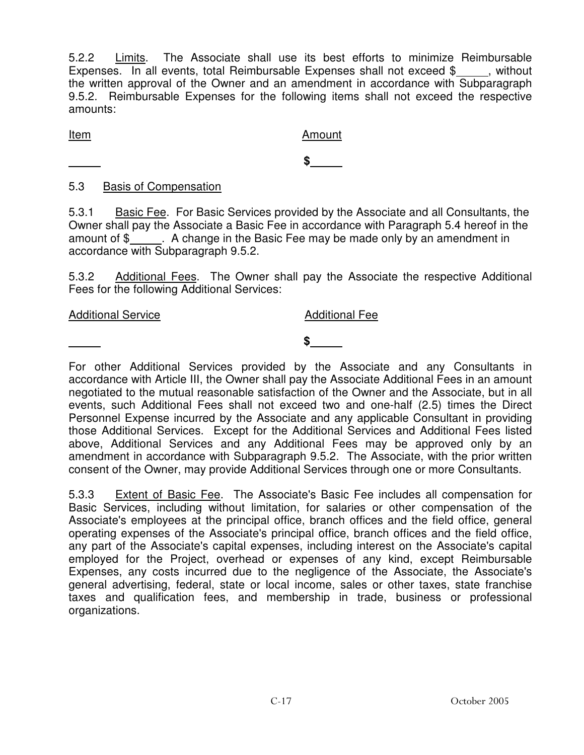5.2.2 Limits. The Associate shall use its best efforts to minimize Reimbursable Expenses. In all events, total Reimbursable Expenses shall not exceed  $\$ , without the written approval of the Owner and an amendment in accordance with Subparagraph 9.5.2. Reimbursable Expenses for the following items shall not exceed the respective amounts:

Item Amount

 **\$** 

### 5.3 Basis of Compensation

 **\$** 

5.3.1 Basic Fee. For Basic Services provided by the Associate and all Consultants, the Owner shall pay the Associate a Basic Fee in accordance with Paragraph 5.4 hereof in the amount of \$. A change in the Basic Fee may be made only by an amendment in accordance with Subparagraph 9.5.2.

5.3.2 Additional Fees. The Owner shall pay the Associate the respective Additional Fees for the following Additional Services:

#### Additional Service **Additional Fee**

For other Additional Services provided by the Associate and any Consultants in accordance with Article III, the Owner shall pay the Associate Additional Fees in an amount negotiated to the mutual reasonable satisfaction of the Owner and the Associate, but in all events, such Additional Fees shall not exceed two and one-half (2.5) times the Direct Personnel Expense incurred by the Associate and any applicable Consultant in providing those Additional Services. Except for the Additional Services and Additional Fees listed above, Additional Services and any Additional Fees may be approved only by an amendment in accordance with Subparagraph 9.5.2. The Associate, with the prior written consent of the Owner, may provide Additional Services through one or more Consultants.

5.3.3 Extent of Basic Fee. The Associate's Basic Fee includes all compensation for Basic Services, including without limitation, for salaries or other compensation of the Associate's employees at the principal office, branch offices and the field office, general operating expenses of the Associate's principal office, branch offices and the field office, any part of the Associate's capital expenses, including interest on the Associate's capital employed for the Project, overhead or expenses of any kind, except Reimbursable Expenses, any costs incurred due to the negligence of the Associate, the Associate's general advertising, federal, state or local income, sales or other taxes, state franchise taxes and qualification fees, and membership in trade, business or professional organizations.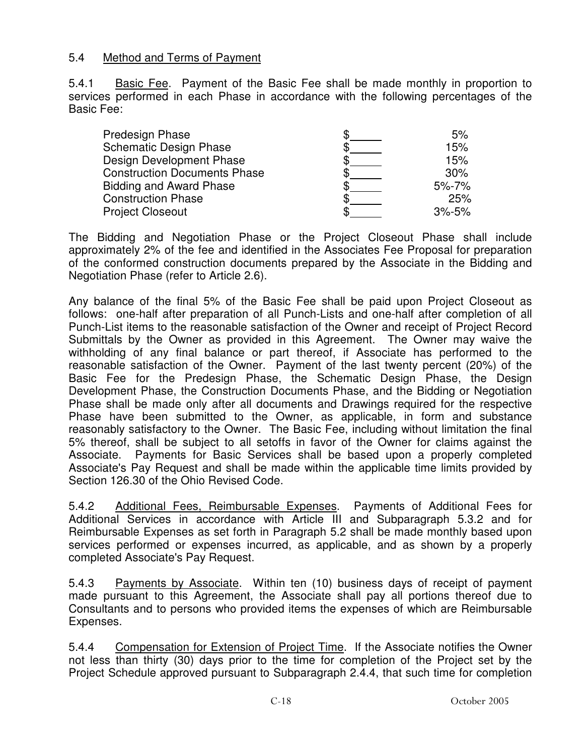### 5.4 Method and Terms of Payment

5.4.1 Basic Fee. Payment of the Basic Fee shall be made monthly in proportion to services performed in each Phase in accordance with the following percentages of the Basic Fee:

| Predesign Phase                     | 5%          |
|-------------------------------------|-------------|
| <b>Schematic Design Phase</b>       | 15%         |
| Design Development Phase            | 15%         |
| <b>Construction Documents Phase</b> | 30%         |
| <b>Bidding and Award Phase</b>      | $5\% - 7\%$ |
| <b>Construction Phase</b>           | 25%         |
| <b>Project Closeout</b>             | $3\% - 5\%$ |

The Bidding and Negotiation Phase or the Project Closeout Phase shall include approximately 2% of the fee and identified in the Associates Fee Proposal for preparation of the conformed construction documents prepared by the Associate in the Bidding and Negotiation Phase (refer to Article 2.6).

Any balance of the final 5% of the Basic Fee shall be paid upon Project Closeout as follows: one-half after preparation of all Punch-Lists and one-half after completion of all Punch-List items to the reasonable satisfaction of the Owner and receipt of Project Record Submittals by the Owner as provided in this Agreement. The Owner may waive the withholding of any final balance or part thereof, if Associate has performed to the reasonable satisfaction of the Owner. Payment of the last twenty percent (20%) of the Basic Fee for the Predesign Phase, the Schematic Design Phase, the Design Development Phase, the Construction Documents Phase, and the Bidding or Negotiation Phase shall be made only after all documents and Drawings required for the respective Phase have been submitted to the Owner, as applicable, in form and substance reasonably satisfactory to the Owner. The Basic Fee, including without limitation the final 5% thereof, shall be subject to all setoffs in favor of the Owner for claims against the Associate. Payments for Basic Services shall be based upon a properly completed Associate's Pay Request and shall be made within the applicable time limits provided by Section 126.30 of the Ohio Revised Code.

5.4.2 Additional Fees, Reimbursable Expenses. Payments of Additional Fees for Additional Services in accordance with Article III and Subparagraph 5.3.2 and for Reimbursable Expenses as set forth in Paragraph 5.2 shall be made monthly based upon services performed or expenses incurred, as applicable, and as shown by a properly completed Associate's Pay Request.

5.4.3 Payments by Associate. Within ten (10) business days of receipt of payment made pursuant to this Agreement, the Associate shall pay all portions thereof due to Consultants and to persons who provided items the expenses of which are Reimbursable Expenses.

5.4.4 Compensation for Extension of Project Time. If the Associate notifies the Owner not less than thirty (30) days prior to the time for completion of the Project set by the Project Schedule approved pursuant to Subparagraph 2.4.4, that such time for completion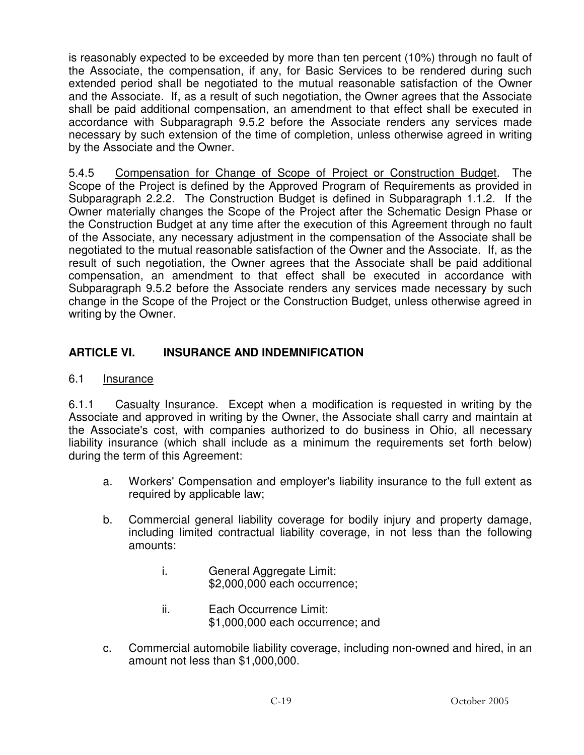is reasonably expected to be exceeded by more than ten percent (10%) through no fault of the Associate, the compensation, if any, for Basic Services to be rendered during such extended period shall be negotiated to the mutual reasonable satisfaction of the Owner and the Associate. If, as a result of such negotiation, the Owner agrees that the Associate shall be paid additional compensation, an amendment to that effect shall be executed in accordance with Subparagraph 9.5.2 before the Associate renders any services made necessary by such extension of the time of completion, unless otherwise agreed in writing by the Associate and the Owner.

5.4.5 Compensation for Change of Scope of Project or Construction Budget. The Scope of the Project is defined by the Approved Program of Requirements as provided in Subparagraph 2.2.2. The Construction Budget is defined in Subparagraph 1.1.2. If the Owner materially changes the Scope of the Project after the Schematic Design Phase or the Construction Budget at any time after the execution of this Agreement through no fault of the Associate, any necessary adjustment in the compensation of the Associate shall be negotiated to the mutual reasonable satisfaction of the Owner and the Associate. If, as the result of such negotiation, the Owner agrees that the Associate shall be paid additional compensation, an amendment to that effect shall be executed in accordance with Subparagraph 9.5.2 before the Associate renders any services made necessary by such change in the Scope of the Project or the Construction Budget, unless otherwise agreed in writing by the Owner.

## **ARTICLE VI. INSURANCE AND INDEMNIFICATION**

### 6.1 Insurance

6.1.1 Casualty Insurance. Except when a modification is requested in writing by the Associate and approved in writing by the Owner, the Associate shall carry and maintain at the Associate's cost, with companies authorized to do business in Ohio, all necessary liability insurance (which shall include as a minimum the requirements set forth below) during the term of this Agreement:

- a. Workers' Compensation and employer's liability insurance to the full extent as required by applicable law;
- b. Commercial general liability coverage for bodily injury and property damage, including limited contractual liability coverage, in not less than the following amounts:
	- i. General Aggregate Limit: \$2,000,000 each occurrence;
	- ii. Each Occurrence Limit: \$1,000,000 each occurrence; and
- c. Commercial automobile liability coverage, including non-owned and hired, in an amount not less than \$1,000,000.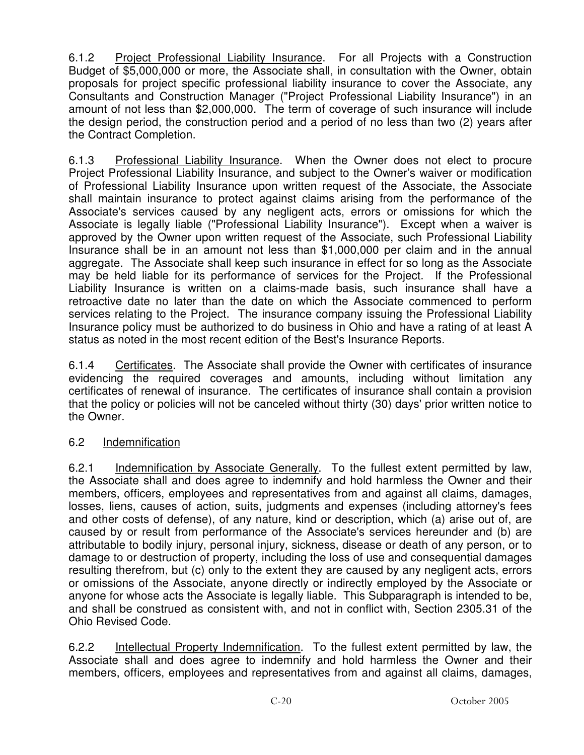6.1.2 Project Professional Liability Insurance. For all Projects with a Construction Budget of \$5,000,000 or more, the Associate shall, in consultation with the Owner, obtain proposals for project specific professional liability insurance to cover the Associate, any Consultants and Construction Manager ("Project Professional Liability Insurance") in an amount of not less than \$2,000,000. The term of coverage of such insurance will include the design period, the construction period and a period of no less than two (2) years after the Contract Completion.

6.1.3 Professional Liability Insurance. When the Owner does not elect to procure Project Professional Liability Insurance, and subject to the Owner's waiver or modification of Professional Liability Insurance upon written request of the Associate, the Associate shall maintain insurance to protect against claims arising from the performance of the Associate's services caused by any negligent acts, errors or omissions for which the Associate is legally liable ("Professional Liability Insurance"). Except when a waiver is approved by the Owner upon written request of the Associate, such Professional Liability Insurance shall be in an amount not less than \$1,000,000 per claim and in the annual aggregate. The Associate shall keep such insurance in effect for so long as the Associate may be held liable for its performance of services for the Project. If the Professional Liability Insurance is written on a claims-made basis, such insurance shall have a retroactive date no later than the date on which the Associate commenced to perform services relating to the Project. The insurance company issuing the Professional Liability Insurance policy must be authorized to do business in Ohio and have a rating of at least A status as noted in the most recent edition of the Best's Insurance Reports.

6.1.4 Certificates. The Associate shall provide the Owner with certificates of insurance evidencing the required coverages and amounts, including without limitation any certificates of renewal of insurance. The certificates of insurance shall contain a provision that the policy or policies will not be canceled without thirty (30) days' prior written notice to the Owner.

## 6.2 Indemnification

6.2.1 Indemnification by Associate Generally. To the fullest extent permitted by law, the Associate shall and does agree to indemnify and hold harmless the Owner and their members, officers, employees and representatives from and against all claims, damages, losses, liens, causes of action, suits, judgments and expenses (including attorney's fees and other costs of defense), of any nature, kind or description, which (a) arise out of, are caused by or result from performance of the Associate's services hereunder and (b) are attributable to bodily injury, personal injury, sickness, disease or death of any person, or to damage to or destruction of property, including the loss of use and consequential damages resulting therefrom, but (c) only to the extent they are caused by any negligent acts, errors or omissions of the Associate, anyone directly or indirectly employed by the Associate or anyone for whose acts the Associate is legally liable. This Subparagraph is intended to be, and shall be construed as consistent with, and not in conflict with, Section 2305.31 of the Ohio Revised Code.

6.2.2 Intellectual Property Indemnification. To the fullest extent permitted by law, the Associate shall and does agree to indemnify and hold harmless the Owner and their members, officers, employees and representatives from and against all claims, damages,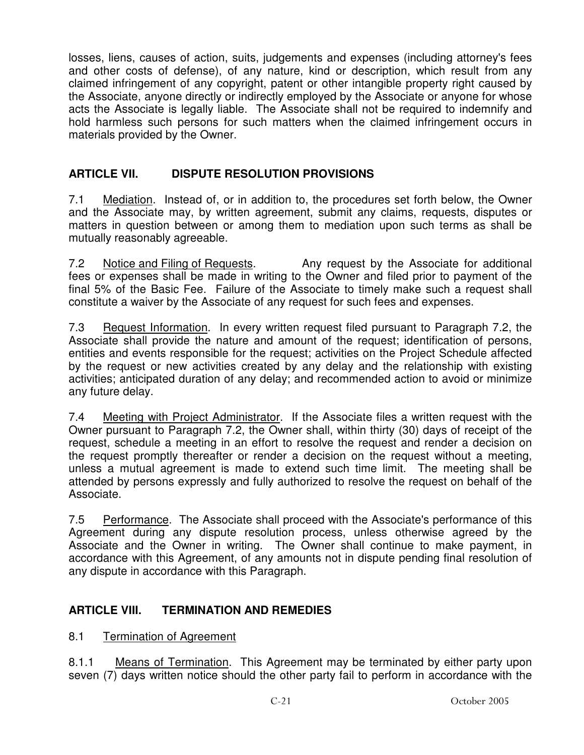losses, liens, causes of action, suits, judgements and expenses (including attorney's fees and other costs of defense), of any nature, kind or description, which result from any claimed infringement of any copyright, patent or other intangible property right caused by the Associate, anyone directly or indirectly employed by the Associate or anyone for whose acts the Associate is legally liable. The Associate shall not be required to indemnify and hold harmless such persons for such matters when the claimed infringement occurs in materials provided by the Owner.

## **ARTICLE VII. DISPUTE RESOLUTION PROVISIONS**

7.1 Mediation. Instead of, or in addition to, the procedures set forth below, the Owner and the Associate may, by written agreement, submit any claims, requests, disputes or matters in question between or among them to mediation upon such terms as shall be mutually reasonably agreeable.

7.2 Notice and Filing of Requests. Any request by the Associate for additional fees or expenses shall be made in writing to the Owner and filed prior to payment of the final 5% of the Basic Fee. Failure of the Associate to timely make such a request shall constitute a waiver by the Associate of any request for such fees and expenses.

7.3 Request Information. In every written request filed pursuant to Paragraph 7.2, the Associate shall provide the nature and amount of the request; identification of persons, entities and events responsible for the request; activities on the Project Schedule affected by the request or new activities created by any delay and the relationship with existing activities; anticipated duration of any delay; and recommended action to avoid or minimize any future delay.

7.4 Meeting with Project Administrator. If the Associate files a written request with the Owner pursuant to Paragraph 7.2, the Owner shall, within thirty (30) days of receipt of the request, schedule a meeting in an effort to resolve the request and render a decision on the request promptly thereafter or render a decision on the request without a meeting, unless a mutual agreement is made to extend such time limit. The meeting shall be attended by persons expressly and fully authorized to resolve the request on behalf of the Associate.

7.5 Performance. The Associate shall proceed with the Associate's performance of this Agreement during any dispute resolution process, unless otherwise agreed by the Associate and the Owner in writing. The Owner shall continue to make payment, in accordance with this Agreement, of any amounts not in dispute pending final resolution of any dispute in accordance with this Paragraph.

# **ARTICLE VIII. TERMINATION AND REMEDIES**

## 8.1 Termination of Agreement

8.1.1 Means of Termination. This Agreement may be terminated by either party upon seven (7) days written notice should the other party fail to perform in accordance with the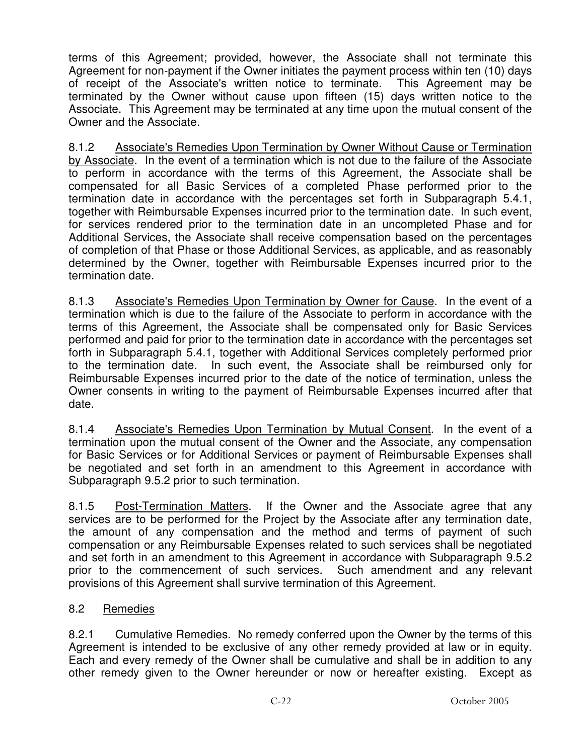terms of this Agreement; provided, however, the Associate shall not terminate this Agreement for non-payment if the Owner initiates the payment process within ten (10) days of receipt of the Associate's written notice to terminate. This Agreement may be terminated by the Owner without cause upon fifteen (15) days written notice to the Associate. This Agreement may be terminated at any time upon the mutual consent of the Owner and the Associate.

8.1.2 Associate's Remedies Upon Termination by Owner Without Cause or Termination by Associate. In the event of a termination which is not due to the failure of the Associate to perform in accordance with the terms of this Agreement, the Associate shall be compensated for all Basic Services of a completed Phase performed prior to the termination date in accordance with the percentages set forth in Subparagraph 5.4.1, together with Reimbursable Expenses incurred prior to the termination date. In such event, for services rendered prior to the termination date in an uncompleted Phase and for Additional Services, the Associate shall receive compensation based on the percentages of completion of that Phase or those Additional Services, as applicable, and as reasonably determined by the Owner, together with Reimbursable Expenses incurred prior to the termination date.

8.1.3 Associate's Remedies Upon Termination by Owner for Cause. In the event of a termination which is due to the failure of the Associate to perform in accordance with the terms of this Agreement, the Associate shall be compensated only for Basic Services performed and paid for prior to the termination date in accordance with the percentages set forth in Subparagraph 5.4.1, together with Additional Services completely performed prior to the termination date. In such event, the Associate shall be reimbursed only for Reimbursable Expenses incurred prior to the date of the notice of termination, unless the Owner consents in writing to the payment of Reimbursable Expenses incurred after that date.

8.1.4 Associate's Remedies Upon Termination by Mutual Consent. In the event of a termination upon the mutual consent of the Owner and the Associate, any compensation for Basic Services or for Additional Services or payment of Reimbursable Expenses shall be negotiated and set forth in an amendment to this Agreement in accordance with Subparagraph 9.5.2 prior to such termination.

8.1.5 Post-Termination Matters. If the Owner and the Associate agree that any services are to be performed for the Project by the Associate after any termination date, the amount of any compensation and the method and terms of payment of such compensation or any Reimbursable Expenses related to such services shall be negotiated and set forth in an amendment to this Agreement in accordance with Subparagraph 9.5.2 prior to the commencement of such services. Such amendment and any relevant provisions of this Agreement shall survive termination of this Agreement.

## 8.2 Remedies

8.2.1 Cumulative Remedies. No remedy conferred upon the Owner by the terms of this Agreement is intended to be exclusive of any other remedy provided at law or in equity. Each and every remedy of the Owner shall be cumulative and shall be in addition to any other remedy given to the Owner hereunder or now or hereafter existing. Except as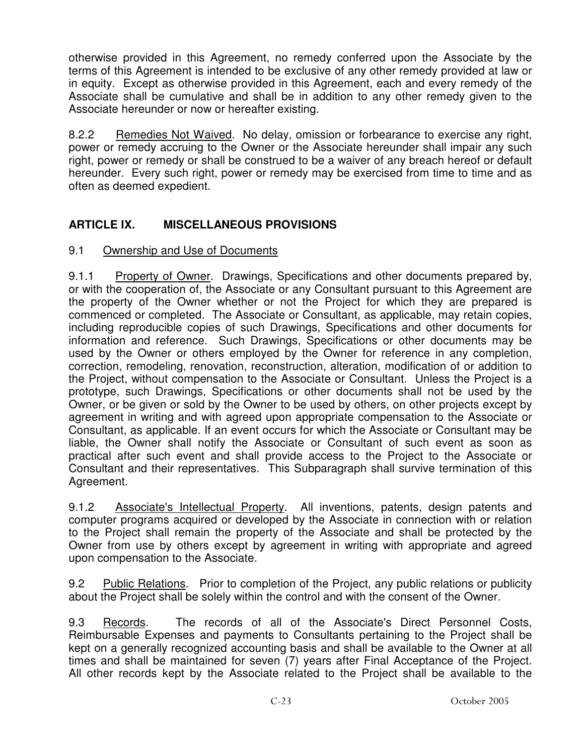otherwise provided in this Agreement, no remedy conferred upon the Associate by the terms of this Agreement is intended to be exclusive of any other remedy provided at law or in equity. Except as otherwise provided in this Agreement, each and every remedy of the Associate shall be cumulative and shall be in addition to any other remedy given to the Associate hereunder or now or hereafter existing.

8.2.2 Remedies Not Waived. No delay, omission or forbearance to exercise any right, power or remedy accruing to the Owner or the Associate hereunder shall impair any such right, power or remedy or shall be construed to be a waiver of any breach hereof or default hereunder. Every such right, power or remedy may be exercised from time to time and as often as deemed expedient.

# **ARTICLE IX. MISCELLANEOUS PROVISIONS**

## 9.1 Ownership and Use of Documents

9.1.1 Property of Owner. Drawings, Specifications and other documents prepared by, or with the cooperation of, the Associate or any Consultant pursuant to this Agreement are the property of the Owner whether or not the Project for which they are prepared is commenced or completed. The Associate or Consultant, as applicable, may retain copies, including reproducible copies of such Drawings, Specifications and other documents for information and reference. Such Drawings, Specifications or other documents may be used by the Owner or others employed by the Owner for reference in any completion, correction, remodeling, renovation, reconstruction, alteration, modification of or addition to the Project, without compensation to the Associate or Consultant. Unless the Project is a prototype, such Drawings, Specifications or other documents shall not be used by the Owner, or be given or sold by the Owner to be used by others, on other projects except by agreement in writing and with agreed upon appropriate compensation to the Associate or Consultant, as applicable. If an event occurs for which the Associate or Consultant may be liable, the Owner shall notify the Associate or Consultant of such event as soon as practical after such event and shall provide access to the Project to the Associate or Consultant and their representatives. This Subparagraph shall survive termination of this Agreement.

9.1.2 Associate's Intellectual Property. All inventions, patents, design patents and computer programs acquired or developed by the Associate in connection with or relation to the Project shall remain the property of the Associate and shall be protected by the Owner from use by others except by agreement in writing with appropriate and agreed upon compensation to the Associate.

9.2 Public Relations. Prior to completion of the Project, any public relations or publicity about the Project shall be solely within the control and with the consent of the Owner.

9.3 Records. The records of all of the Associate's Direct Personnel Costs, Reimbursable Expenses and payments to Consultants pertaining to the Project shall be kept on a generally recognized accounting basis and shall be available to the Owner at all times and shall be maintained for seven (7) years after Final Acceptance of the Project. All other records kept by the Associate related to the Project shall be available to the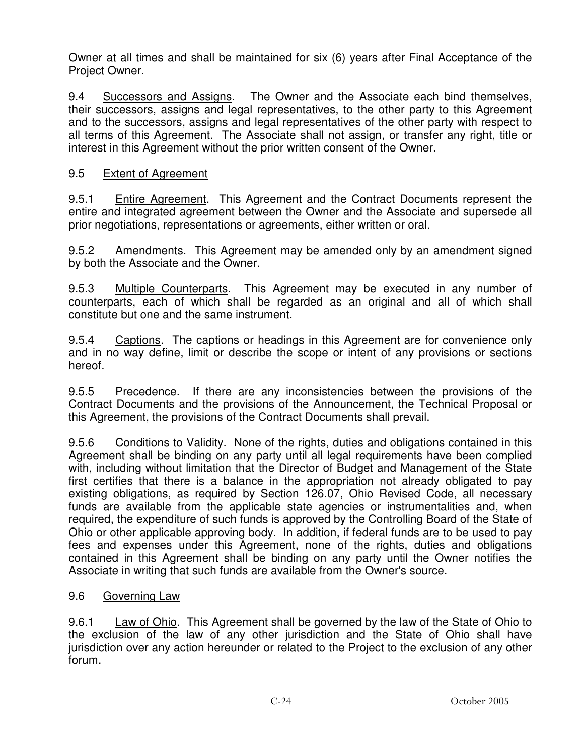Owner at all times and shall be maintained for six (6) years after Final Acceptance of the Project Owner.

9.4 Successors and Assigns. The Owner and the Associate each bind themselves, their successors, assigns and legal representatives, to the other party to this Agreement and to the successors, assigns and legal representatives of the other party with respect to all terms of this Agreement. The Associate shall not assign, or transfer any right, title or interest in this Agreement without the prior written consent of the Owner.

### 9.5 Extent of Agreement

9.5.1 Entire Agreement. This Agreement and the Contract Documents represent the entire and integrated agreement between the Owner and the Associate and supersede all prior negotiations, representations or agreements, either written or oral.

9.5.2 Amendments. This Agreement may be amended only by an amendment signed by both the Associate and the Owner.

9.5.3 Multiple Counterparts. This Agreement may be executed in any number of counterparts, each of which shall be regarded as an original and all of which shall constitute but one and the same instrument.

9.5.4 Captions. The captions or headings in this Agreement are for convenience only and in no way define, limit or describe the scope or intent of any provisions or sections hereof.

9.5.5 Precedence. If there are any inconsistencies between the provisions of the Contract Documents and the provisions of the Announcement, the Technical Proposal or this Agreement, the provisions of the Contract Documents shall prevail.

9.5.6 Conditions to Validity. None of the rights, duties and obligations contained in this Agreement shall be binding on any party until all legal requirements have been complied with, including without limitation that the Director of Budget and Management of the State first certifies that there is a balance in the appropriation not already obligated to pay existing obligations, as required by Section 126.07, Ohio Revised Code, all necessary funds are available from the applicable state agencies or instrumentalities and, when required, the expenditure of such funds is approved by the Controlling Board of the State of Ohio or other applicable approving body. In addition, if federal funds are to be used to pay fees and expenses under this Agreement, none of the rights, duties and obligations contained in this Agreement shall be binding on any party until the Owner notifies the Associate in writing that such funds are available from the Owner's source.

## 9.6 Governing Law

9.6.1 Law of Ohio. This Agreement shall be governed by the law of the State of Ohio to the exclusion of the law of any other jurisdiction and the State of Ohio shall have jurisdiction over any action hereunder or related to the Project to the exclusion of any other forum.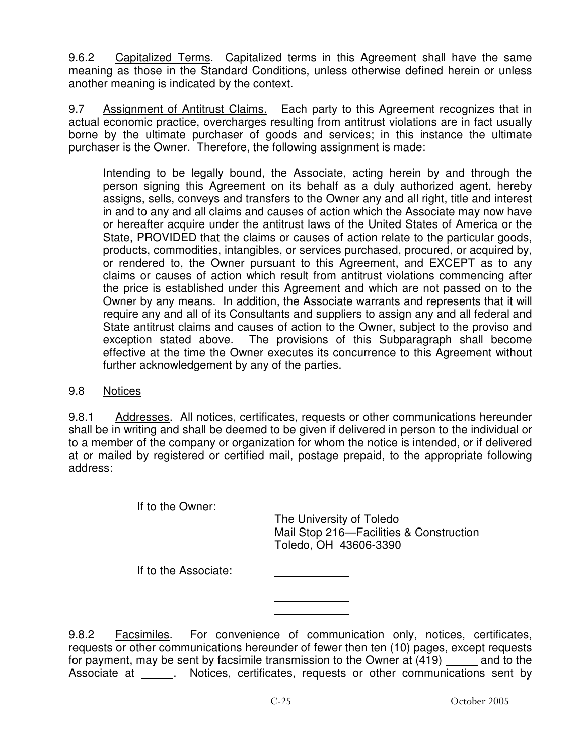9.6.2 Capitalized Terms. Capitalized terms in this Agreement shall have the same meaning as those in the Standard Conditions, unless otherwise defined herein or unless another meaning is indicated by the context.

9.7 Assignment of Antitrust Claims. Each party to this Agreement recognizes that in actual economic practice, overcharges resulting from antitrust violations are in fact usually borne by the ultimate purchaser of goods and services; in this instance the ultimate purchaser is the Owner. Therefore, the following assignment is made:

Intending to be legally bound, the Associate, acting herein by and through the person signing this Agreement on its behalf as a duly authorized agent, hereby assigns, sells, conveys and transfers to the Owner any and all right, title and interest in and to any and all claims and causes of action which the Associate may now have or hereafter acquire under the antitrust laws of the United States of America or the State, PROVIDED that the claims or causes of action relate to the particular goods, products, commodities, intangibles, or services purchased, procured, or acquired by, or rendered to, the Owner pursuant to this Agreement, and EXCEPT as to any claims or causes of action which result from antitrust violations commencing after the price is established under this Agreement and which are not passed on to the Owner by any means. In addition, the Associate warrants and represents that it will require any and all of its Consultants and suppliers to assign any and all federal and State antitrust claims and causes of action to the Owner, subject to the proviso and exception stated above. The provisions of this Subparagraph shall become effective at the time the Owner executes its concurrence to this Agreement without further acknowledgement by any of the parties.

#### 9.8 Notices

9.8.1 Addresses. All notices, certificates, requests or other communications hereunder shall be in writing and shall be deemed to be given if delivered in person to the individual or to a member of the company or organization for whom the notice is intended, or if delivered at or mailed by registered or certified mail, postage prepaid, to the appropriate following address:

If to the Owner:

 The University of Toledo Mail Stop 216—Facilities & Construction Toledo, OH 43606-3390

If to the Associate:

9.8.2 Facsimiles. For convenience of communication only, notices, certificates, requests or other communications hereunder of fewer then ten (10) pages, except requests for payment, may be sent by facsimile transmission to the Owner at  $(419)$  and to the Associate at . Notices, certificates, requests or other communications sent by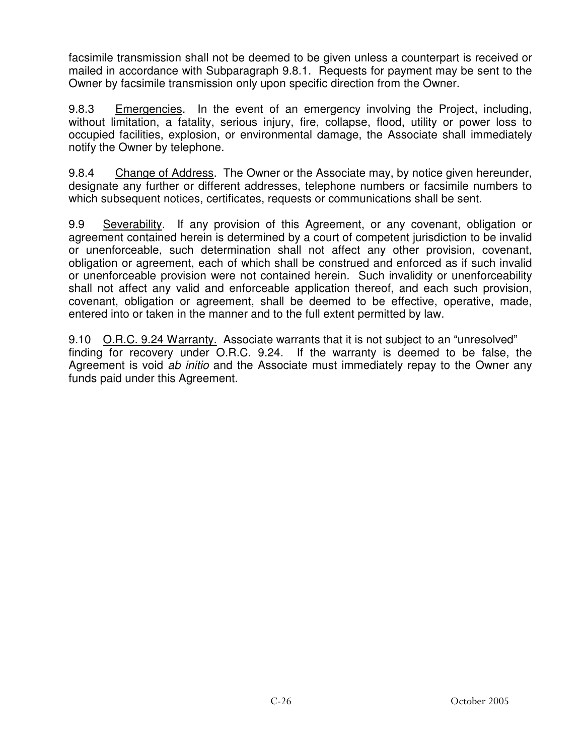facsimile transmission shall not be deemed to be given unless a counterpart is received or mailed in accordance with Subparagraph 9.8.1. Requests for payment may be sent to the Owner by facsimile transmission only upon specific direction from the Owner.

9.8.3 Emergencies. In the event of an emergency involving the Project, including, without limitation, a fatality, serious injury, fire, collapse, flood, utility or power loss to occupied facilities, explosion, or environmental damage, the Associate shall immediately notify the Owner by telephone.

9.8.4 Change of Address. The Owner or the Associate may, by notice given hereunder, designate any further or different addresses, telephone numbers or facsimile numbers to which subsequent notices, certificates, requests or communications shall be sent.

9.9 Severability. If any provision of this Agreement, or any covenant, obligation or agreement contained herein is determined by a court of competent jurisdiction to be invalid or unenforceable, such determination shall not affect any other provision, covenant, obligation or agreement, each of which shall be construed and enforced as if such invalid or unenforceable provision were not contained herein. Such invalidity or unenforceability shall not affect any valid and enforceable application thereof, and each such provision, covenant, obligation or agreement, shall be deemed to be effective, operative, made, entered into or taken in the manner and to the full extent permitted by law.

9.10 O.R.C. 9.24 Warranty. Associate warrants that it is not subject to an "unresolved" finding for recovery under O.R.C. 9.24. If the warranty is deemed to be false, the Agreement is void ab initio and the Associate must immediately repay to the Owner any funds paid under this Agreement.